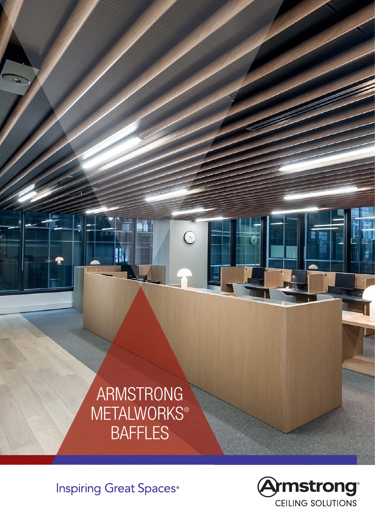# ARMSTRONG **METALWORKS®** BAFFLES

ië.

 $\odot$ 

**Inspiring Great Spaces**<sup>®</sup>

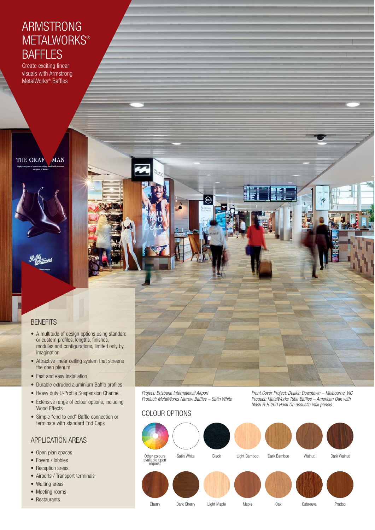## ARMSTRONG **METALWORKS® BAFFLES**

Create exciting linear visuals with Armstrong MetalWorks® Baffles

THE CRAF. **MAN** 

## **BENEFITS**

- A multitude of design options using standard or custom profiles, lengths, finishes, modules and configurations, limited only by imagination
- Attractive linear ceiling system that screens the open plenum
- Fast and easy installation
- Durable extruded aluminium Baffle profiles
- Heavy duty U-Profile Suspension Channel
- Extensive range of colour options, including Wood Effects
- Simple "end to end" Baffle connection or terminate with standard End Caps

### APPLICATION AREAS

- Open plan spaces
- Foyers / lobbies
- Reception areas
- Airports / Transport terminals
- Waiting areas
- Meeting rooms
- Restaurants

Project: Brisbane International Airport Product: MetalWorks Narrow Baffles – Satin White

## COLOUR OPTIONS



Front Cover Project: Deakin Downtown – Melbourne, VIC Product: MetalWorks Tube Baffles – American Oak with black R-H 200 Hook On acoustic infill panels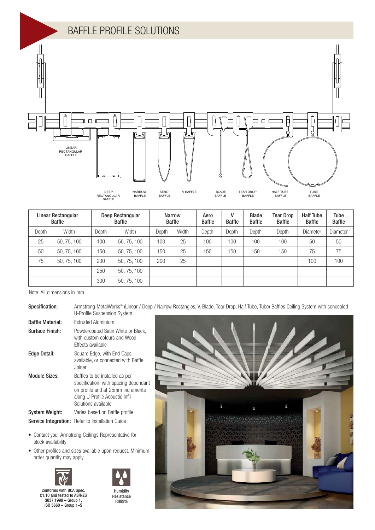

| Linear Rectangular<br>Baffle |             | Deep Rectangular<br><b>Baffle</b> |             | <b>Narrow</b><br><b>Baffle</b> |       | Aero<br><b>Baffle</b> | V<br><b>Baffle</b> | <b>Blade</b><br><b>Baffle</b> | <b>Tear Drop</b><br><b>Baffle</b> | <b>Half Tube</b><br><b>Baffle</b> | Tube<br><b>Baffle</b> |
|------------------------------|-------------|-----------------------------------|-------------|--------------------------------|-------|-----------------------|--------------------|-------------------------------|-----------------------------------|-----------------------------------|-----------------------|
| Depth                        | Width       | Depth                             | Width       | Depth                          | Width | Depth                 | Depth              | Depth                         | Depth                             | Diameter                          | <b>Diameter</b>       |
| 25                           | 50, 75, 100 | 100                               | 50, 75, 100 | 100                            | 25    | 100                   | 100                | 100                           | 100                               | 50                                | 50                    |
| 50                           | 50, 75, 100 | 150                               | 50, 75, 100 | 150                            | 25    | 150                   | 150                | 150                           | 150                               | 75                                | 75                    |
| 75                           | 50, 75, 100 | 200                               | 50, 75, 100 | 200                            | 25    |                       |                    |                               |                                   | 100                               | 100                   |
|                              |             | 250                               | 50, 75, 100 |                                |       |                       |                    |                               |                                   |                                   |                       |
|                              |             | 300                               | 50, 75, 100 |                                |       |                       |                    |                               |                                   |                                   |                       |

Note: All dimensions in mm

| Specification:           | Armstrong MetalWorks® (Linear / Deep / Narrow Rectangles, V, Blade, Tear Drop, Half Tube, Tube) Baffles Ceiling System with concealed<br>U-Profile Suspension System  |  |  |  |
|--------------------------|-----------------------------------------------------------------------------------------------------------------------------------------------------------------------|--|--|--|
| <b>Baffle Material:</b>  | Extruded Aluminium                                                                                                                                                    |  |  |  |
| Surface Finish:          | Powdercoated Satin White or Black,<br>with custom colours and Wood<br>Effects available                                                                               |  |  |  |
| Edge Detail:             | Square Edge, with End Caps<br>available, or connected with Baffle<br>Joiner                                                                                           |  |  |  |
| <b>Module Sizes:</b>     | Baffles to be installed as per<br>specification, with spacing dependant<br>on profile and at 25mm increments<br>along U-Profile Acoustic Infil<br>Solutions available |  |  |  |
| <b>System Weight:</b>    | Varies based on Baffle profile                                                                                                                                        |  |  |  |
|                          | Service Integration: Refer to Installation Guide                                                                                                                      |  |  |  |
| stock availability       | • Contact your Armstrong Ceilings Representative for                                                                                                                  |  |  |  |
| order quantity may apply | • Other profiles and sizes available upon request. Minimum                                                                                                            |  |  |  |





Conforms with BCA Spec. C1.10 and tested to AS/NZS 3837:1998 – Group 1, ISO 5660 – Group 1–S

Humidity **Resistance** RH99%